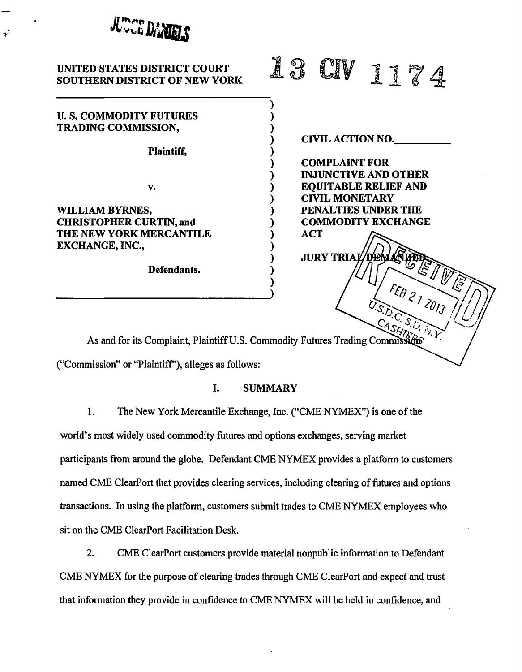

# UNITED STATES DISTRICT COURT SOUTHERN DISTRICT OF NEW YORK

## U. S. COMMODITY FUTURES TRADING COMMISSION,

نۍ

Plaintiff,

v.

WILLIAM BYRNES, CHRISTOPHER CURTIN, and THE NEW YORK MERCANTILE EXCHANGE, INC.,

Defendants.

| <b>Alternatives</b><br>Ď<br>æ. | V<br>$\mathbb{C}$ | 铅 | N | 6 | Ŋ |  |
|--------------------------------|-------------------|---|---|---|---|--|
|--------------------------------|-------------------|---|---|---|---|--|

CIVIL ACTION NO.

COMPLAINT FOR INJUNCTIVE AND OTHER EQUITABLE RELIEF AND CIVIL MONETARY PENALTIES UNDER THE COMMODITY EXCHANGE ACT

**JURY TRIAL** 

As and for its Complaint, Plaintiff U.S. Commodity Futures Trading Commis

) ) ) ) ) ) ) ) ) ) ) ) ) ) ) )

("Commission" or "Plaintiff'), alleges as follows:

## I. SUMMARY

1. The New York Mercantile Exchange, Inc. ("CME NYMEX") is one of the

world's most widely used commodity futures and options exchanges, serving market participants from around the globe. Defendant CME NYMEX provides a platform to customers named CME ClearPort that provides clearing services, including clearing of futures and options transactions. In using the platform, customers submit trades to CME NYMEX employees who sit on the CME ClearPort Facilitation Desk.

2. CME ClearPort customers provide material nonpublic information to Defendant CME NYMEX for the purpose of clearing trades through CME Clear Port and expect and trust that information they provide in confidence to CME NYMEX will be held in confidence, and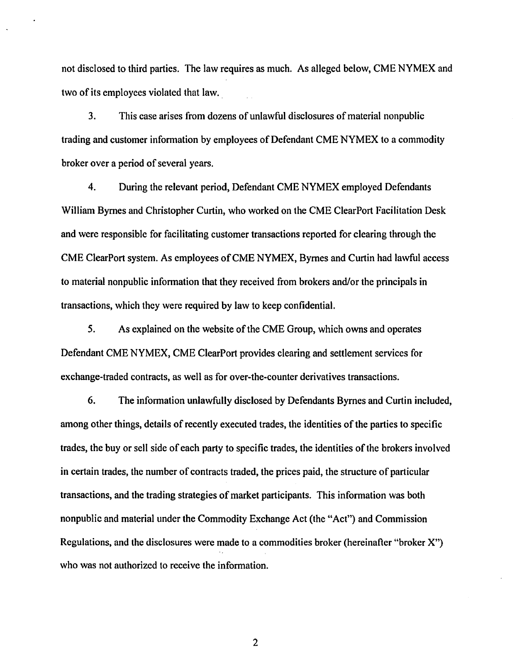not disclosed to third parties. The law requires as much. As alleged below, CME NYMEX and two of its employees violated that law.

3. This case arises from dozens of unlawful disclosures of material nonpublic trading and customer information by employees of Defendant CME NYMEX to a commodity broker over a period of several years.

4. During the relevant period, Defendant CME NYMEX employed Defendants William Byrnes and Christopher Curtin, who worked on the CME Clear Port Facilitation Desk and were responsible for facilitating customer transactions reported for clearing through the CME ClearPort system. As employees of CME NYMEX, Byrnes and Curtin had lawful access to material nonpublic information that they received from brokers and/or the principals in transactions, which they were required by law to keep confidential.

5. As explained on the website of the CME Group, which owns and operates Defendant CME NYMEX, CME ClearPort provides clearing and settlement services for exchange-traded contracts, as well as for over-the-counter derivatives transactions.

6. The information unlawfully disclosed by Defendants Byrnes and Curtin included, among other things, details of recently executed trades, the identities of the parties to specific trades, the buy or sell side of each party to specific trades, the identities of the brokers involved in certain trades, the number of contracts traded, the prices paid, the structure of particular transactions, and the trading strategies of market participants. This information was both nonpublic and material under the Commodity Exchange Act (the "Act") and Commission Regulations, and the disclosures were made to a commodities broker (hereinafter "broker X") who was not authorized to receive the information.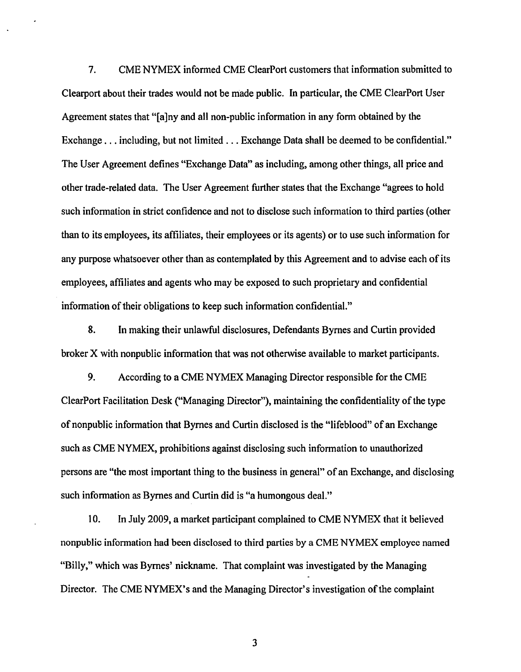7. CME NYMEX informed CME ClearPort customers that information submitted to Clearport about their trades would not be made public. In particular, the CME ClearPort User Agreement states that "[a]ny and all non-public information in any form obtained by the Exchange ... including, but not limited ... Exchange Data shall be deemed to be confidential." The User Agreement defines "Exchange Data" as including, among other things, all price and other trade-related data. The User Agreement further states that the Exchange "agrees to hold such information in strict confidence and not to disclose such information to third parties (other than to its employees, its affiliates, their employees or its agents) or to use such information for any purpose whatsoever other than as contemplated by this Agreement and to advise each of its employees, affiliates and agents who may be exposed to such proprietary and confidential information of their obligations to keep such information confidential."

8. In making their unlawful disclosures, Defendants Byrnes and Curtin provided broker X with nonpublic information that was not otherwise available to market participants.

9. According to a CME NYMEX Managing Director responsible for the CME ClearPort Facilitation Desk ("Managing Director"), maintaining the confidentiality of the type of non public information that Byrnes and Curtin disclosed is the "lifeblood" of an Exchange such as CME NYMEX, prohibitions against disclosing such information to unauthorized persons are "the most important thing to the business in general" of an Exchange, and disclosing such information as Byrnes and Curtin did is "a humongous deal."

10. In July 2009, a market participant complained to CME NYMEX that it believed nonpublic information had been disclosed to third parties by a CME NYMEX employee named "Billy," which was Byrnes' nickname. That complaint was investigated by the Managing Director. The CME NYMEX's and the Managing Director's investigation of the complaint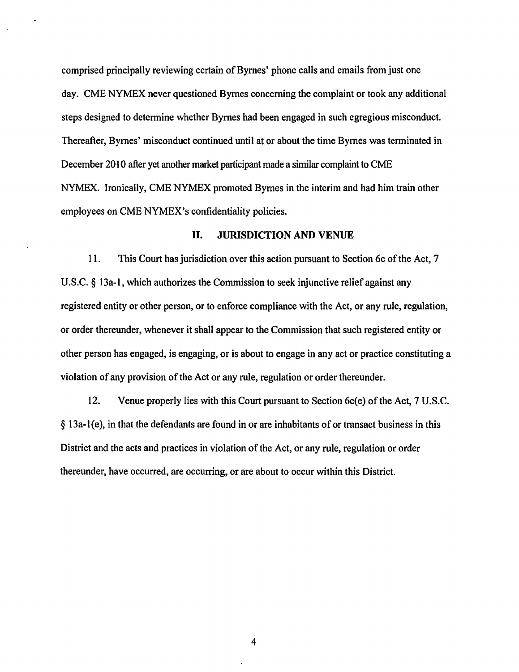comprised principally reviewing certain of Byrnes' phone calls and emails from just one day. CME NYMEX never questioned Byrnes concerning the complaint or took any additional steps designed to determine whether Byrnes had been engaged in such egregious misconduct. Thereafter, Byrnes' misconduct continued until at or about the time Byrnes was terminated in December 2010 after yet another market participant made a similar complaint to CME NYMEX. Ironically, CME NYMEX promoted Byrnes in the interim and had him train other employees on CME NYMEX's confidentiality policies.

## II. JURISDICTION AND VENUE

11. This Court has jurisdiction over this action pursuant to Section 6c of the Act, 7 U.S.C. § 13a-1, which authorizes the Commission to seek injunctive relief against any registered entity or other person, or to enforce compliance with the Act, or any rule, regulation, or order thereunder, whenever it shall appear to the Commission that such registered entity or other person has engaged, is engaging, or is about to engage in any act or practice constituting a violation of any provision of the Act or any rule, regulation or order thereunder.

12. Venue properly lies with this Court pursuant to Section 6c(e) of the Act, 7 U.S.C.  $\S$  13a-1(e), in that the defendants are found in or are inhabitants of or transact business in this District and the acts and practices in violation of the Act, or any rule, regulation or order thereunder, have occurred, are occurring, or are about to occur within this District.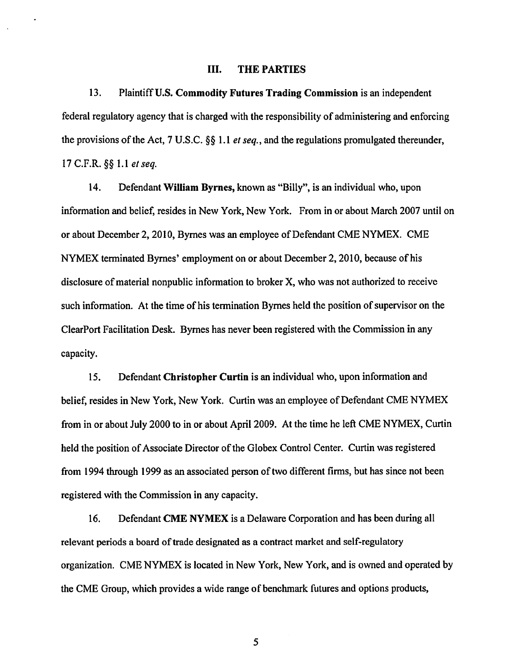#### III. THE PARTIES

13. Plaintiff U.S. Commodity Futures Trading Commission is an independent federal regulatory agency that is charged with the responsibility of administering and enforcing the provisions of the Act, 7 U.S.C. §§ 1.1 *et seq.,* and the regulations promulgated thereunder, 17 C.F.R. §§ 1.1 *e/ seq.* 

14. Defendant William Byrnes, known as "Billy", is an individual who, upon information and belief, resides in New York, New York. From in or about March 2007 until on or about December 2, 2010, Byrnes was an employee of Defendant CME NYMEX. CME NYMEX terminated Byrnes' employment on or about December 2, 2010, because of his disclosure of material nonpublic information to broker X, who was not authorized to receive such information. At the time of his termination Byrnes held the position of supervisor on the Clear Port Facilitation Desk. Byrnes has never been registered with the Commission in any capacity.

15. Defendant Christopher Curtin is an individual who, upon information and belief, resides in New York, New York. Curtin was an employee of Defendant CME NYMEX from in or about July 2000 to in or about April 2009. At the time he left CME NYMEX, Curtin held the position of Associate Director of the Globex Control Center. Curtin was registered from 1994 through 1999 as an associated person of two different firms, but has since not been registered with the Commission in any capacity.

16. Defendant CME NYMEX is a Delaware Corporation and has been during all relevant periods a board of trade designated as a contract market and self-regulatory organization. CME NYMEX is located in New York, New York, and is owned and operated by the CME Group, which provides a wide range of benchmark futures and options products,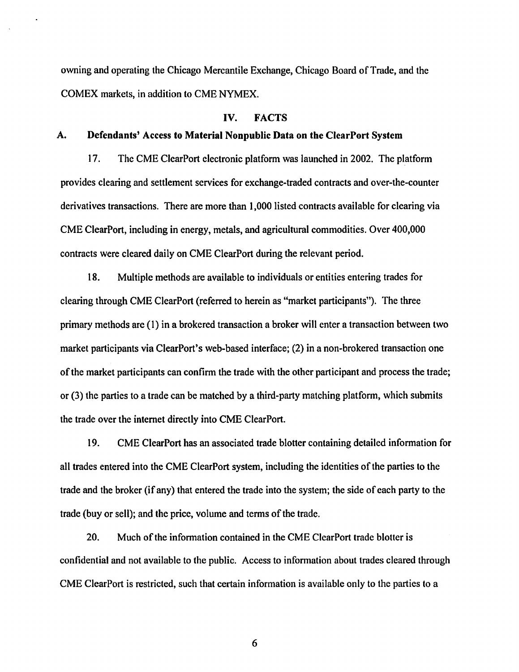owning and operating the Chicago Mercantile Exchange, Chicago Board of Trade, and the COMEX markets, in addition to CME NYMEX.

### IV. FACTS

#### A. Defendants' Access to Material Nonpublic Data on the ClearPort System

17. The CME ClearPort electronic platform was launched in 2002. The platform provides clearing and settlement services for exchange-traded contracts and over-the-counter derivatives transactions. There are more than I ,000 listed contracts available for clearing via CME ClearPort, including in energy, metals, and agricultural commodities. Over 400,000 contracts were cleared daily on CME Clear Port during the relevant period.

18. Multiple methods are available to individuals or entities entering trades for clearing through CME ClearPort (referred to herein as "market participants"). The three primary methods are (1) in a brokered transaction a broker will enter a transaction between two market participants via ClearPort's web-based interface; (2) in a non-brokered transaction one of the market participants can confirm the trade with the other participant and process the trade; or (3) the parties to a trade can be matched by a third-party matching platform, which submits the trade over the internet directly into CME ClearPort.

19. CME ClearPort has an associated trade blotter containing detailed information for all trades entered into the CME ClearPort system, including the identities of the parties to the trade and the broker (if any) that entered the trade into the system; the side of each party to the trade (buy or sell); and the price, volume and terms of the trade.

20. Much of the information contained in the CME Clear Port trade blotter is confidential and not available to the public. Access to information about trades cleared through CME ClearPort is restricted, such that certain information is available only to the parties to a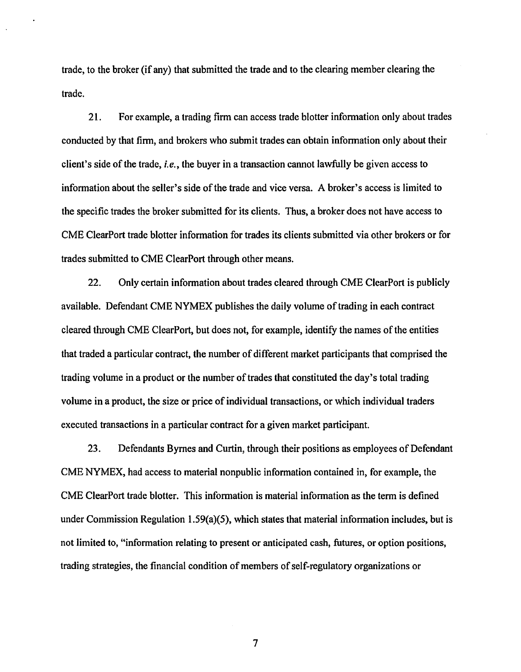trade, to the broker (if any) that submitted the trade and to the clearing member clearing the trade.

21. For example, a trading firm can access trade blotter information only about trades conducted by that firm, and brokers who submit trades can obtain information only about their client's side of the trade, *i.e.,* the buyer in a transaction cannot lawfully be given access to information about the seller's side of the trade and vice versa. A broker's access is limited to the specific trades the broker submitted for its clients. Thus, a broker does not have access to CME ClearPort trade blotter information for trades its clients submitted via other brokers or for trades submitted to CME ClearPort through other means.

22. Only certain information about trades cleared through CME ClearPort is publicly available. Defendant CME NYMEX publishes the daily volume of trading in each contract cleared through CME ClearPort, but does not, for example, identify the names of the entities that traded a particular contract, the number of different market participants that comprised the trading volume in a product or the number of trades that constituted the day's total trading volume in a product, the size or price of individual transactions, or which individual traders executed transactions in a particular contract for a given market participant.

23. Defendants Byrnes and Curtin, through their positions as employees of Defendant CME NYMEX, had access to material nonpublic information contained in, for example, the CME ClearPort trade blotter. This information is material information as the term is defined under Commission Regulation 1.59(a)(5), which states that material information includes, but is not limited to, "information relating to present or anticipated cash, futures, or option positions, trading strategies, the financial condition of members of self-regulatory organizations or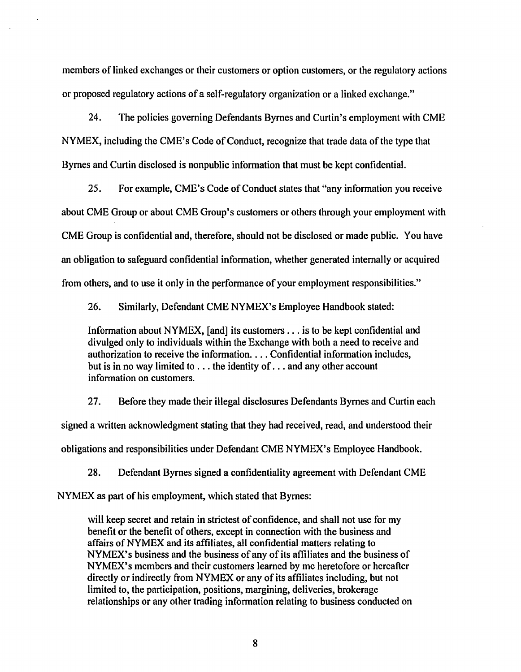members of linked exchanges or their customers or option customers, or the regulatory actions or proposed regulatory actions of a self-regulatory organization or a linked exchange."

24. The policies governing Defendants Byrnes and Curtin's employment with CME NYMEX, including the CME's Code of Conduct, recognize that trade data of the type that Byrnes and Curtin disclosed is nonpublic information that must be kept confidential.

25. For example, CME's Code of Conduct states that "any information you receive about CME Group or about CME Group's customers or others through your employment with CME Group is confidential and, therefore, should not be disclosed or made public. You have an obligation to safeguard confidential information, whether generated internally or acquired from others, and to use it only in the performance of your employment responsibilities."

26. Similarly, Defendant CME NYMEX's Employee Handbook stated:

Information about NYMEX, [and] its customers ... is to be kept confidential and divulged only to individuals within the Exchange with both a need to receive and authorization to receive the information .... Confidential information includes, but is in no way limited to ... the identity of ... and any other account information on customers.

27. Before they made their illegal disclosures Defendants Byrnes and Curtin each signed a written acknowledgment stating that they had received, read, and understood their obligations and responsibilities under Defendant CME NYMEX's Employee Handbook.

28. Defendant Byrnes signed a confidentiality agreement with Defendant CME

NYMEX as part of his employment, which stated that Byrnes:

will keep secret and retain in strictest of confidence, and shall not use for my benefit or the benefit of others, except in connection with the business and affairs of NYMEX and its affiliates, all confidential matters relating to NYMEX's business and the business of any of its affiliates and the business of NYMEX's members and their customers learned by me heretofore or hereafter directly or indirectly from NYMEX or any of its affiliates including, but not limited to, the participation, positions, margining, deliveries, brokerage relationships or any other trading information relating to business conducted on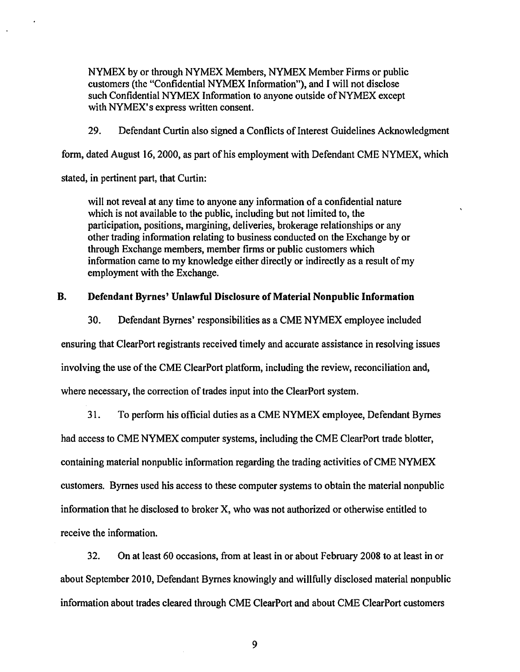NYMEX by or through NYMEX Members, NYMEX Member Firms or public customers (the "Confidential NYMEX Information"), and I will not disclose such Confidential NYMEX Information to anyone outside of NYMEX except with NYMEX's express written consent.

29. Defendant Curtin also signed a Conflicts of Interest Guidelines Acknowledgment

form, dated August 16,2000, as part of his employment with Defendant CME NYMEX, which

stated, in pertinent part, that Curtin:

will not reveal at any time to anyone any information of a confidential nature which is not available to the public, including but not limited to, the participation, positions, margining, deliveries, brokerage relationships or any other trading information relating to business conducted on the Exchange by or through Exchange members, member firms or public customers which information came to my knowledge either directly or indirectly as a result of my employment with the Exchange.

### **B. Defendant Byrnes' Unlawful Disclosure of Material Nonpublic Information**

30. Defendant Byrnes' responsibilities as aCME NYMEX employee included ensuring that ClearPort registrants received timely and accurate assistance in resolving issues involving the use of the CME ClearPort platform, including the review, reconciliation and, where necessary, the correction of trades input into the ClearPort system.

31. To perform his official duties as aCME NYMEX employee, Defendant Byrnes

had access to CME NYMEX computer systems, including the CME ClearPort trade blotter,

containing material nonpublic information regarding the trading activities of CME NYMEX

customers. Byrnes used his access to these computer systems to obtain the material nonpublic

information that he disclosed to broker X, who was not authorized or otherwise entitled to

receive the information.

32. On at least 60 occasions, from at least in or about February 2008 to at least in or about September 2010, Defendant Byrnes knowingly and willfully disclosed material nonpublic information about trades cleared through CME ClearPort and about CME ClearPort customers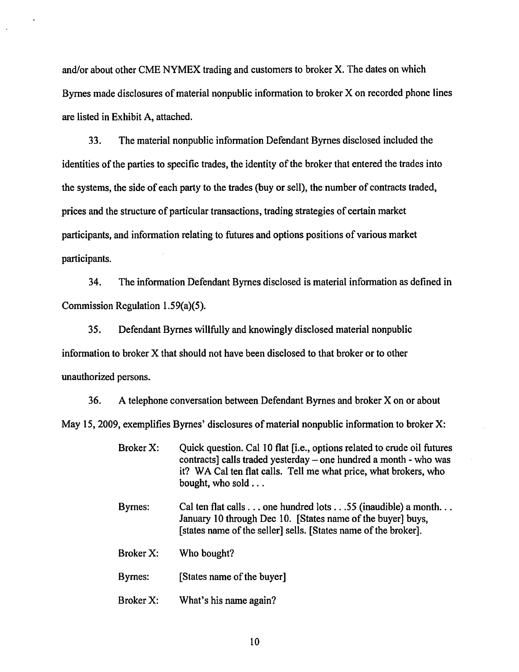and/or about other CME NYMEX trading and customers to broker X. The dates on which Byrnes made disclosures of material nonpublic information to broker X on recorded phone lines are listed in Exhibit A, attached.

33. The material nonpublic information Defendant Byrnes disclosed included the identities of the parties to specific trades, the identity of the broker that entered the trades into the systems, the side of each party to the trades (buy or sell), the number of contracts traded, prices and the structure of particular transactions, trading strategies of certain market participants, and information relating to futures and options positions of various market participants.

34. The information Defendant Byrnes disclosed is material information as defined in Commission Regulation 1.59(a)(5).

35. Defendant Byrnes willfully and knowingly disclosed material nonpublic information to broker X that should not have been disclosed to that broker or to other unauthorized persons.

36. A telephone conversation between Defendant Byrnes and broker X on or about May 15, 2009, exemplifies Byrnes' disclosures of material nonpublic information to broker X:

- Broker X: Quick question. Cal 10 flat [i.e., options related to crude oil futures contracts] calls traded yesterday – one hundred a month - who was it? WA Cal ten flat calls. Tell me what price, what brokers, who bought, who sold ...
- Byrnes: Cal ten flat calls ... one hundred lots .. *. 55* (inaudible) a month ... January 10 through Dec 10. [States name of the buyer] buys, [states name of the seller] sells. [States name of the broker].
- Broker X: Who bought?

Byrnes: [States name of the buyer]

Broker X: What's his name again?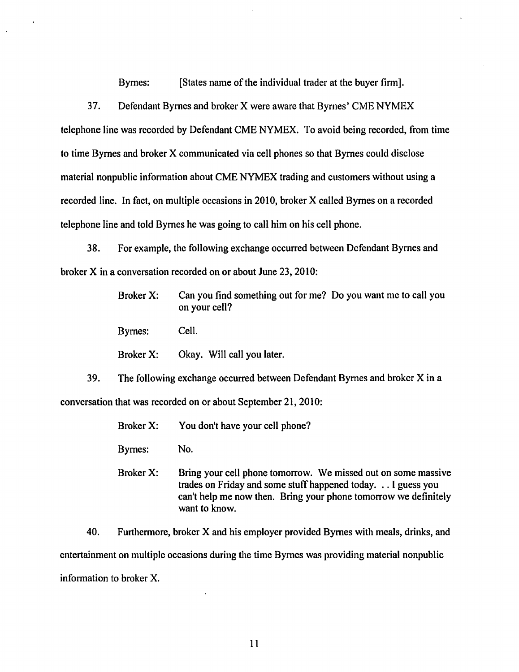Byrnes: [States name of the individual trader at the buyer firm].

37. Defendant Byrnes and broker X were aware that Byrnes' CME NYMEX telephone line was recorded by Defendant CME NYMEX. To avoid being recorded, from time to time Byrnes and broker X communicated via cell phones so that Byrnes could disclose material nonpublic information about CME NYMEX trading and customers without using a recorded line. In fact, on multiple occasions in 2010, broker X called Byrnes on a recorded telephone line and told Byrnes he was going to call him on his cell phone.

38. For example, the following exchange occurred between Defendant Byrnes and broker X in a conversation recorded on or about June 23,2010:

> Broker X: Can you find something out for me? Do you want me to call you on your cell?

Byrnes: Cell.

Broker X: Okay. Will call you later.

39. The following exchange occurred between Defendant Byrnes and broker X in a conversation that was recorded on or about September 21, 2010:

> Broker X: You don't have your cell phone?

Byrnes: No.

Broker X: Bring your cell phone tomorrow. We missed out on some massive trades on Friday and some stuff happened today ... I guess you can't help me now then. Bring your phone tomorrow we definitely want to know.

40. Furthermore, broker X and his employer provided Byrnes with meals, drinks, and entertainment on multiple occasions during the time Byrnes was providing material nonpublic information to broker X.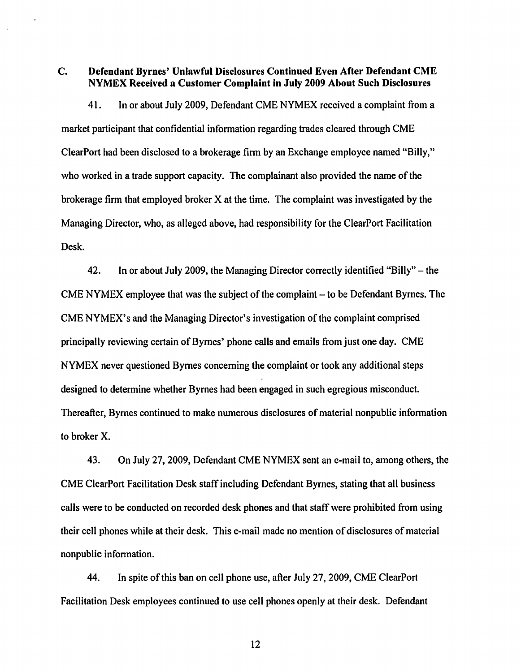C. Defendant Byrnes' Unlawful Disclosures Continued Even After Defendant CME NYMEX Received a Customer Complaint in July 2009 About Such Disclosures

41. In or about July 2009, Defendant CME NYMEX received a complaint from a market participant that confidential information regarding trades cleared through CME ClearPort had been disclosed to a brokerage firm by an Exchange employee named "Billy," who worked in a trade support capacity. The complainant also provided the name of the brokerage firm that employed broker X at the time. The complaint was investigated by the Managing Director, who, as alleged above, had responsibility for the ClearPort Facilitation Desk.

42. In or about July 2009, the Managing Director correctly identified "Billy"- the CME NYMEX employee that was the subject of the complaint  $-$  to be Defendant Byrnes. The CME NYMEX's and the Managing Director's investigation of the complaint comprised principally reviewing certain of Byrnes' phone calls and emails from just one day. CME NYMEX never questioned Byrnes concerning the complaint or took any additional steps designed to determine whether Byrnes had been engaged in such egregious misconduct. Thereafter, Byrnes continued to make numerous disclosures of material nonpublic information to broker X.

43. On July 27, 2009, Defendant CME NYMEX sent an e-mail to, among others, the CME Clear Port Facilitation Desk staff including Defendant Byrnes, stating that all business calls were to be conducted on recorded desk phones and that staff were prohibited from using their cell phones while at their desk. This e-mail made no mention of disclosures of material nonpublic information.

44. In spite ofthis ban on cell phone use, after July 27, 2009, CME ClearPort Facilitation Desk employees continued to use cell phones openly at their desk. Defendant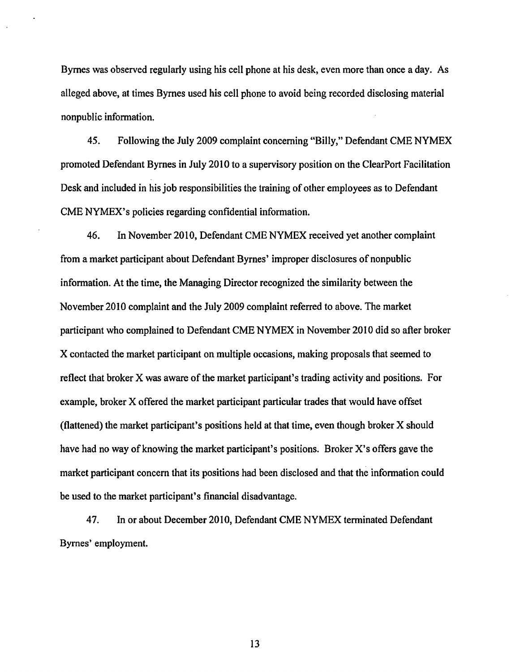Byrnes was observed regularly using his cell phone at his desk, even more than once a day. As alleged above, at times Byrnes used his cell phone to avoid being recorded disclosing material nonpublic information.

*45.* Following the July 2009 complaint concerning "Billy," Defendant CME NYMEX promoted Defendant Byrnes in July 2010 to a supervisory position on the ClearPort Facilitation Desk and included in his job responsibilities the training of other employees as to Defendant CME NYMEX's policies regarding confidential information.

46. In November 2010, Defendant CME NYMEX received yet another complaint from a market participant about Defendant Byrnes' improper disclosures of nonpublic information. At the time, the Managing Director recognized the similarity between the November 2010 complaint and the July 2009 complaint referred to above. The market participant who complained to Defendant CME NYMEX in November 2010 did so after broker X contacted the market participant on multiple occasions, making proposals that seemed to reflect that broker X was aware of the market participant's trading activity and positions. For example, broker X offered the market participant particular trades that would have offset (flattened) the market participant's positions held at that time, even though broker X should have had no way of knowing the market participant's positions. Broker X's offers gave the market participant concern that its positions had been disclosed and that the information could be used to the market participant's financial disadvantage.

47. In or about December 2010, Defendant CME NYMEX terminated Defendant Byrnes' employment.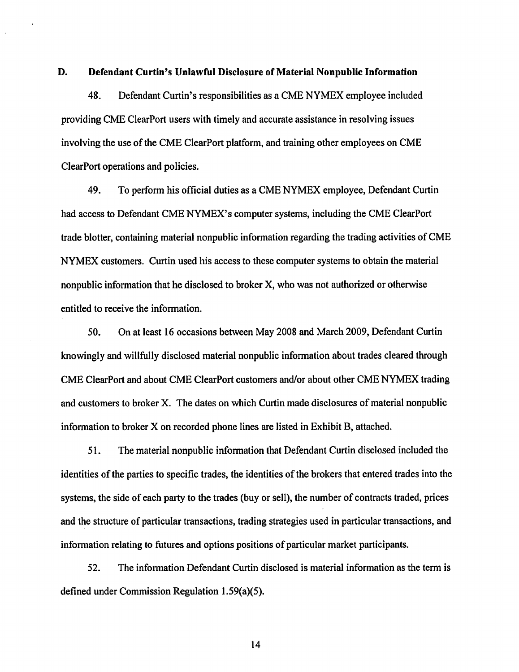#### D. Defendant Curtin's Unlawful Disclosure of Material Nonpublic Information

48. Defendant Curtin's responsibilities as aCME NYMEX employee included providing CME Clear Port users with timely and accurate assistance in resolving issues involving the use of the CME ClearPort platform, and training other employees on CME ClearPort operations and policies.

49. To perform his official duties as aCME NYMEX employee, Defendant Curtin had access to Defendant CME NYMEX's computer systems, including the CME ClearPort trade blotter, containing material nonpublic information regarding the trading activities of CME NYMEX customers. Curtin used his access to these computer systems to obtain the material nonpublic information that he disclosed to broker X, who was not authorized or otherwise entitled to receive the information.

50. On at least 16 occasions between May 2008 and March 2009, Defendant Curtin knowingly and willfully disclosed material nonpublic information about trades cleared through CME ClearPort and about CME ClearPort customers and/or about other CME NYMEX trading and customers to broker X. The dates on which Curtin made disclosures of material nonpublic information to broker X on recorded phone lines are listed in Exhibit B, attached.

51. The material nonpublic information that Defendant Curtin disclosed included the identities of the parties to specific trades, the identities of the brokers that entered trades into the systems, the side of each party to the trades (buy or sell}, the number of contracts traded, prices and the structure of particular transactions, trading strategies used in particular transactions, and information relating to futures and options positions of particular market participants.

52. The information Defendant Curtin disclosed is material information as the term is defined under Commission Regulation 1.59(a)(5).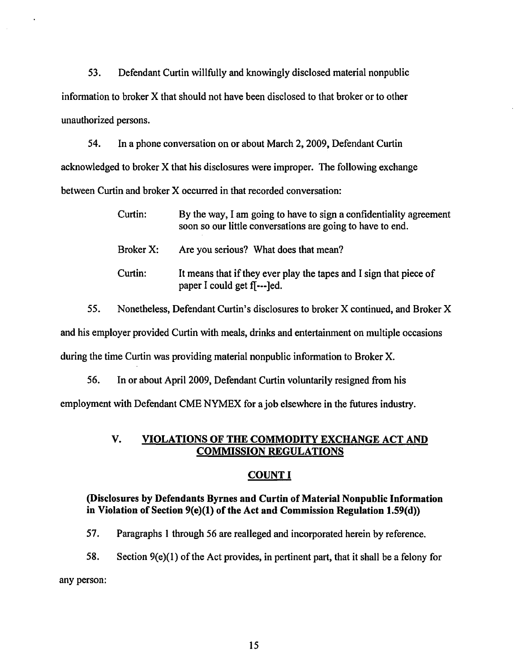53. Defendant Curtin willfully and knowingly disclosed material nonpublic information to broker X that should not have been disclosed to that broker or to other unauthorized persons.

54. In a phone conversation on or about March 2, 2009, Defendant Curtin acknowledged to broker X that his disclosures were improper. The following exchange between Curtin and broker X occurred in that recorded conversation:

| Curtin:   | By the way, I am going to have to sign a confidentiality agreement<br>soon so our little conversations are going to have to end. |
|-----------|----------------------------------------------------------------------------------------------------------------------------------|
| Broker X: | Are you serious? What does that mean?                                                                                            |
| Curtin:   | It means that if they ever play the tapes and I sign that piece of<br>paper I could get f[---]ed.                                |

*55.* Nonetheless, Defendant Curtin's disclosures to broker X continued, and Broker X and his employer provided Curtin with meals, drinks and entertainment on multiple occasions during the time Curtin was providing material nonpublic information to Broker X.

56. In or about April2009, Defendant Curtin voluntarily resigned from his employment with Defendant CME NYMEX for a job elsewhere in the futures industry.

# V. VIOLATIONS OF THE COMMODITY EXCHANGE ACT AND COMMISSION REGULATIONS

# COUNT I

# (Disclosures by Defendants Byrnes and Curtin of Material Nonpublic Information in Violation of Section 9(e)(l) of the Act and Commission Regulation 1.59(d))

57. Paragraphs 1 through 56 are realleged and incorporated herein by reference.

58. Section 9(e)(l) of the Act provides, in pertinent part, that it shall be a felony for any person: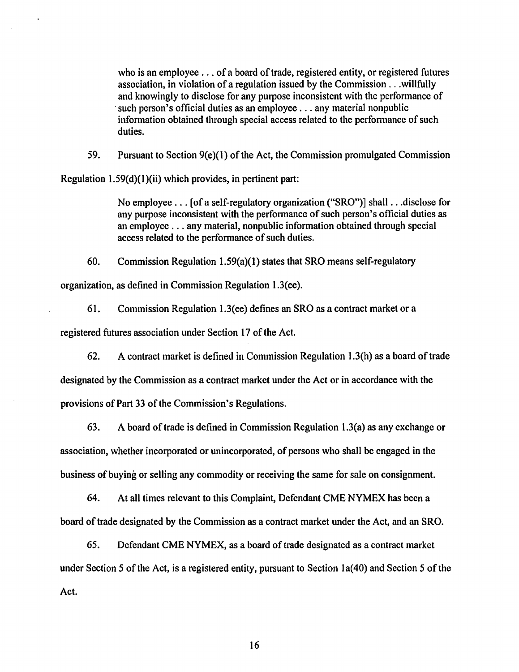who is an employee  $\dots$  of a board of trade, registered entity, or registered futures association, in violation of a regulation issued by the Commission ... willfully and knowingly to disclose for any purpose inconsistent with the performance of such person's official duties as an employee  $\dots$  any material nonpublic information obtained through special access related to the performance of such duties.

59. Pursuant to Section 9(e)(l) of the Act, the Commission promulgated Commission

Regulation 1.59(d)(l)(ii) which provides, in pertinent part:

No employee ... [of a self-regulatory organization ("SRO")] shall ... disclose for any purpose inconsistent with the performance of such person's official duties as an employee ... any material, nonpublic information obtained through special access related to the performance of such duties.

60. Commission Regulation 1.59(a)(l) states that SRO means self-regulatory organization, as defined in Commission Regulation 1.3(ee).

61. Commission Regulation 1.3(ee) defines an SRO as a contract market or a registered futures association under Section 17 of the Act.

62. A contract market is defined in Commission Regulation 1.3(h) as a board of trade designated by the Commission as a contract market under the Act or in accordance with the provisions of Part 33 of the Commission's Regulations.

63. A board of trade is defined in Commission Regulation 1.3(a) as any exchange or association, whether incorporated or unincorporated, of persons who shall be engaged in the business of buying or selling any commodity or receiving the same for sale on consignment.

64. At all times relevant to this Complaint, Defendant CME NYMEX has been a board of trade designated by the Commission as a contract market under the Act, and an SRO.

65. Defendant CME NYMEX, as a board of trade designated as a contract market under Section 5 of the Act, is a registered entity, pursuant to Section la(40) and Section 5 of the Act.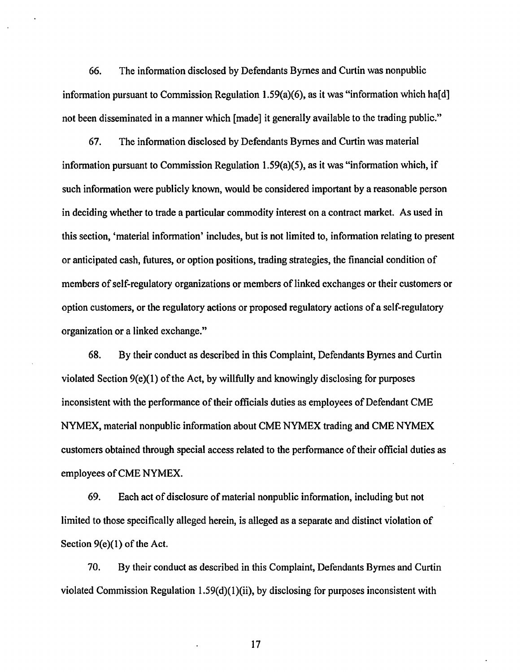66. The information disclosed by Defendants Byrnes and Curtin was nonpublic information pursuant to Commission Regulation 1.59(a)(6), as it was "information which ha[d] not been disseminated in a manner which [made] it generally available to the trading public."

67. The information disclosed by Defendants Byrnes and Curtin was material information pursuant to Commission Regulation 1.59(a)(5), as it was "information which, if such information were publicly known, would be considered important by a reasonable person in deciding whether to trade a particular commodity interest on a contract market. As used in this section, 'material information' includes, but is not limited to, information relating to present or anticipated cash, futures, or option positions, trading strategies, the financial condition of members of self-regulatory organizations or members of linked exchanges or their customers or option customers, or the regulatory actions or proposed regulatory actions of a self-regulatory organization or a linked exchange."

68. By their conduct as described in this Complaint, Defendants Byrnes and Curtin violated Section  $9(e)(1)$  of the Act, by willfully and knowingly disclosing for purposes inconsistent with the performance of their officials duties as employees of Defendant CME NYMEX, material nonpublic information about CME NYMEX trading and CME NYMEX customers obtained through special access related to the performance of their official duties as employees of CME NYMEX.

69. Each act of disclosure of material nonpublic information, including but not limited to those specifically alleged herein, is alleged as a separate and distinct violation of Section  $9(e)(1)$  of the Act.

70. By their conduct as described in this Complaint, Defendants Byrnes and Curtin violated Commission Regulation 1.59(d)(1)(ii), by disclosing for purposes inconsistent with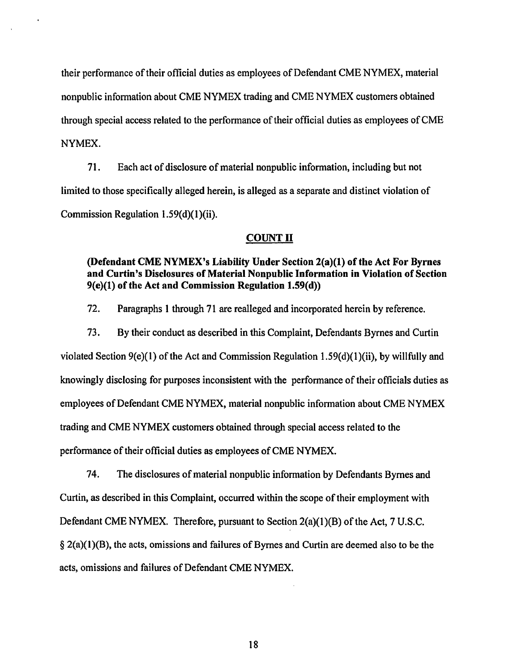their performance of their official duties as employees of Defendant CME NYMEX, material nonpublic information about CME NYMEX trading and CME NYMEX customers obtained through special access related to the performance of their official duties as employees ofCME NYMEX.

71. Each act of disclosure of material nonpublic information, including but not limited to those specifically alleged herein, is alleged as a separate and distinct violation of Commission Regulation 1.59(d)(1)(ii).

#### COUNT II

## (Defendant CME NYMEX's Liability Under Section 2(a)(l) of the Act For Byrnes and Curtin's Disclosures of Material Nonpublic Information in Violation of Section 9(e)(l) of the Act and Commission Regulation 1.59(d))

72. Paragraphs 1 through 71 are realleged and incorporated herein by reference.

73. By their conduct as described in this Complaint, Defendants Byrnes and Curtin violated Section 9(e)(l) of the Act and Commission Regulation 1.59(d)(1)(ii), by willfully and knowingly disclosing for purposes inconsistent with the performance of their officials duties as employees of Defendant CME NYMEX, material nonpublic information about CME NYMEX trading and CME NYMEX customers obtained through special access related to the performance of their official duties as employees of CME NYMEX.

74. The disclosures of material nonpublic information by Defendants Byrnes and Curtin, as described in this Complaint, occurred within the scope of their employment with Defendant CME NYMEX. Therefore, pursuant to Section 2(a)(1)(B) of the Act, 7 U.S.C.  $\S 2(a)(1)(B)$ , the acts, omissions and failures of Byrnes and Curtin are deemed also to be the acts, omissions and failures of Defendant CME NYMEX.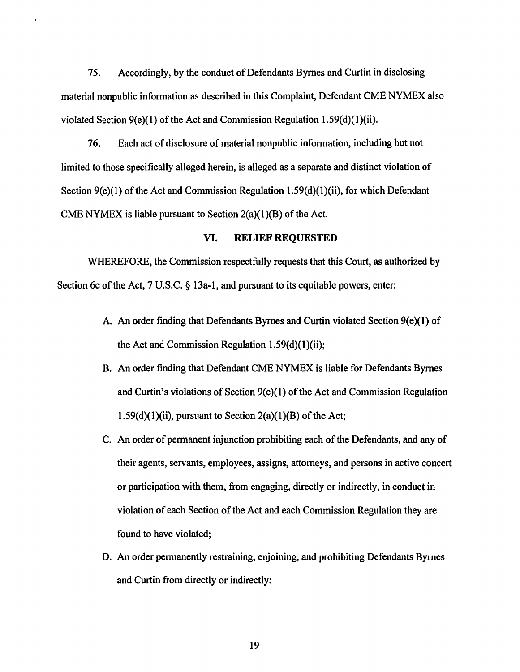75. Accordingly, by the conduct of Defendants Byrnes and Curtin in disclosing material nonpublic information as described in this Complaint, Defendant CME NYMEX also violated Section  $9(e)(1)$  of the Act and Commission Regulation 1.59(d)(1)(ii).

76. Each act of disclosure of material nonpublic information, including but not limited to those specifically alleged herein, is alleged as a separate and distinct violation of Section 9(e)(1) of the Act and Commission Regulation 1.59(d)(1)(ii), for which Defendant CME NYMEX is liable pursuant to Section  $2(a)(1)(B)$  of the Act.

## VI. RELIEF REQUESTED

WHEREFORE, the Commission respectfully requests that this Court, as authorized by Section 6c of the Act, 7 U.S.C. § 13a-1, and pursuant to its equitable powers, enter:

- A. An order fmding that Defendants Byrnes and Curtin violated Section 9(e)(l) of the Act and Commission Regulation  $1.59(d)(1)(ii)$ ;
- B. An order finding that Defendant CME NYMEX is liable for Defendants Byrnes and Curtin's violations of Section 9(e)(l) of the Act and Commission Regulation 1.59(d)(1)(ii), pursuant to Section  $2(a)(1)(B)$  of the Act;
- C. An order of permanent injunction prohibiting each of the Defendants, and any of their agents, servants, employees, assigns, attorneys, and persons in active concert or participation with them, from engaging, directly or indirectly, in conduct in violation of each Section of the Act and each Commission Regulation they are found to have violated;
- D. An order permanently restraining, enjoining, and prohibiting Defendants Byrnes and Curtin from directly or indirectly: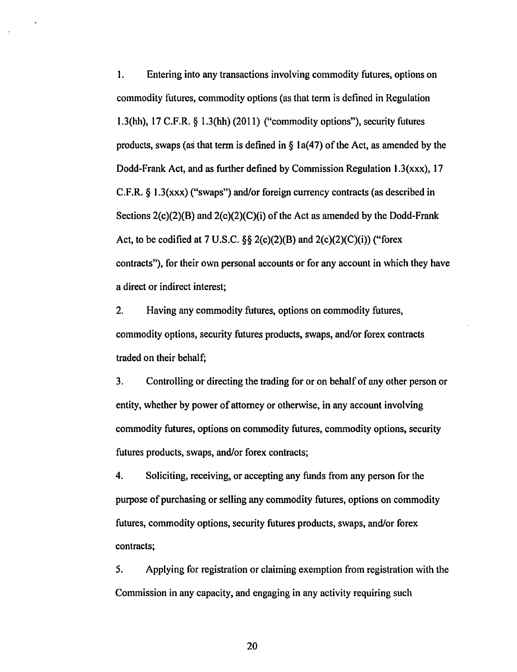1. Entering into any transactions involving commodity futures, options on commodity futures, commodity options (as that term is defined in Regulation 1.3(hh),  $17 \text{ C.F.R. }$  § 1.3(hh) (2011) ("commodity options"), security futures products, swaps (as that term is defined in  $\S$  1a(47) of the Act, as amended by the Dodd-Frank Act, and as further defined by Commission Regulation 1.3(xxx), 17 C.F.R. § 1.3(xxx) ("swaps") and/or foreign currency contracts (as described in Sections  $2(c)(2)(B)$  and  $2(c)(2)(C)(i)$  of the Act as amended by the Dodd-Frank Act, to be codified at 7 U.S.C.  $\S$ § 2(c)(2)(B) and 2(c)(2)(C)(i)) ("forex contracts"), for their own personal accounts or for any account in which they have a direct or indirect interest;

2. Having any commodity futures, options on commodity futures, commodity options, security futures products, swaps, and/or forex contracts traded on their behalf;

3. Controlling or directing the trading for or on behalf of any other person or entity, whether by power of attorney or otherwise, in any account involving commodity futures, options on commodity futures, commodity options, security futures products, swaps, and/or forex contracts;

4. Soliciting, receiving, or accepting any funds from any person for the purpose of purchasing or selling any commodity futures, options on commodity futures, commodity options, security futures products, swaps, and/or forex contracts;

5. Applying for registration or claiming exemption from registration with the Commission in any capacity, and engaging in any activity requiring such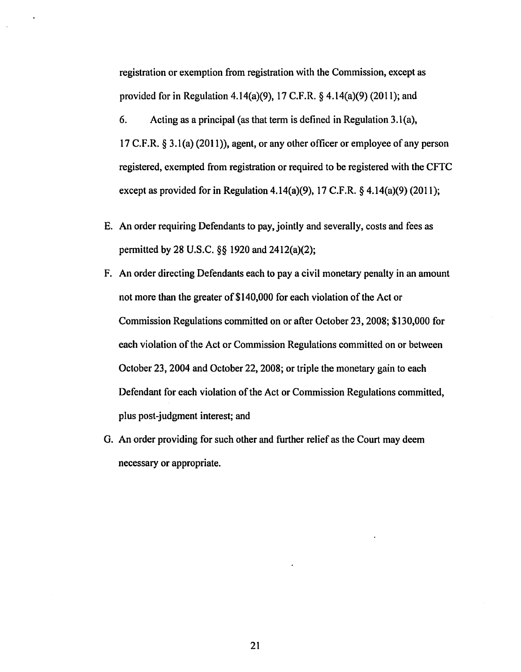registration or exemption from registration with the Commission, except as provided for in Regulation 4.14(a)(9), 17 C.F.R.  $\S$  4.14(a)(9) (2011); and

6. Acting as a principal (as that term is defined in Regulation  $3.1(a)$ , 17 C.F.R. § 3.1(a) (2011)), agent, or any other officer or employee of any person registered, exempted from registration or required to be registered with the CFTC except as provided for in Regulation 4.14(a)(9), 17 C.F.R.  $\S$  4.14(a)(9) (2011);

- E. An order requiring Defendants to pay, jointly and severally, costs and fees as pennitted by 28 U.S.C. §§ 1920 and 2412(a)(2);
- F. An order directing Defendants each to pay a civil monetary penalty in an amount not more than the greater of \$140,000 for each violation of the Act or Commission Regulations committed on or after October 23, 2008; \$130,000 for each violation of the Act or Commission Regulations committed on or between October 23, 2004 and October 22, 2008; or triple the monetary gain to each Defendant for each violation of the Act or Commission Regulations committed, plus post-judgment interest; and
- G. An order providing for such other and further relief as the Court may deem necessary or appropriate.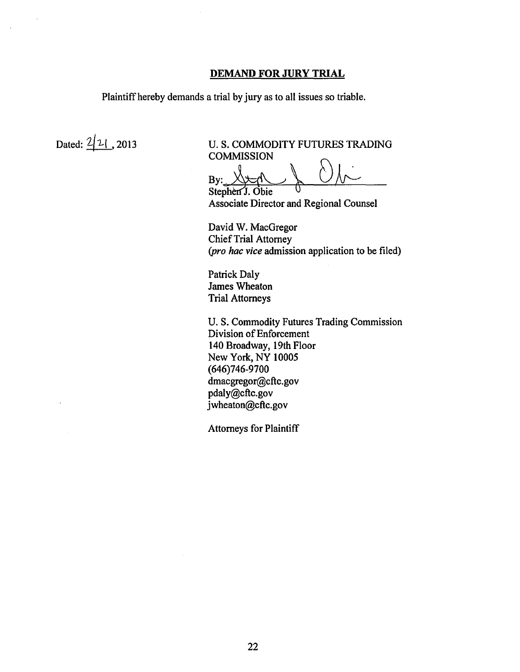### **DEMAND FOR JURY TRIAL**

Plaintiff hereby demands a trial by jury as to all issues so triable.

Dated:  $\frac{2}{1}$ , 2013 U.S. COMMODITY FUTURES TRADING **COMMISSION** 

 $By: \bigtimes \rightarrow \rightarrow$ <br>Stephen J. Obie

Associate Director and Regional Counsel

David W. MacGregor Chief Trial Attorney *(pro hac vice* admission application to be filed)

Patrick Daly James Wheaton Trial Attorneys

U. S. Commodity Futures Trading Commission Division of Enforcement 140 Broadway, 19th Floor New York, NY 10005 (646)746-9700 dmacgregor@cftc.gov pdaly@cftc.gov jwheaton@cftc.gov

Attorneys for Plaintiff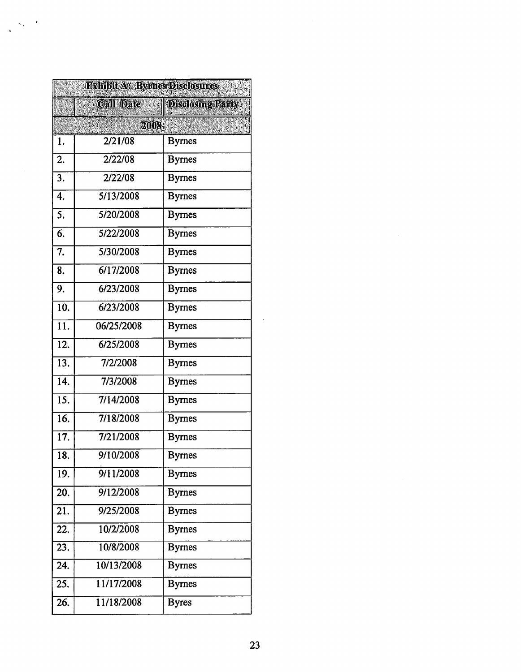|                   | <b>BxHibit As Byrnes Disclosures</b> |                         |
|-------------------|--------------------------------------|-------------------------|
|                   | <b>Call Date!</b>                    | <b>Disclosing Party</b> |
|                   | 2008                                 |                         |
| 1.                | $\overline{2}/21/08$                 | <b>Byrnes</b>           |
| 2.                | 2/22/08                              | <b>Byrnes</b>           |
| 3.                | 2/22/08                              | <b>Byrnes</b>           |
| 4.                | 5/13/2008                            | <b>Byrnes</b>           |
| 5.                | 5/20/2008                            | <b>Bymes</b>            |
| 6.                | 5/22/2008                            | <b>Byrnes</b>           |
| 7.                | 5/30/2008                            | <b>Bymes</b>            |
| 8.                | 6/17/2008                            | <b>Byrnes</b>           |
| 9.                | 6/23/2008                            | <b>Byrnes</b>           |
| 10.               | 6/23/2008                            | <b>Byrnes</b>           |
| $\overline{11}$ . | 06/25/2008                           | <b>Byrnes</b>           |
| $\overline{12.}$  | 6/25/2008                            | <b>Bymes</b>            |
| 13.               | 7/2/2008                             | <b>Bymes</b>            |
| 14.               | 7/3/2008                             | <b>Byrnes</b>           |
| $\overline{15}$ . | 7/14/2008                            | <b>Byrnes</b>           |
| 16.               | 7/18/2008                            | <b>Bymes</b>            |
| 17.               | 7/21/2008                            | <b>Byrnes</b>           |
| 18.               | 9/10/2008                            | <b>Byrnes</b>           |
| 19.               | 9/11/2008                            | <b>Byrnes</b>           |
| 20.               | 9/12/2008                            | <b>Byrnes</b>           |
| 21.               | 9/25/2008                            | <b>Byrnes</b>           |
| 22.               | 10/2/2008                            | <b>Byrnes</b>           |
| $\overline{23.}$  | 10/8/2008                            | <b>Byrnes</b>           |
| 24.               | 10/13/2008                           | <b>Byrnes</b>           |
| 25.               | 11/17/2008                           | <b>Byrnes</b>           |
| 26.               | 11/18/2008                           | <b>Byres</b>            |

 $\sim$   $\sim$  $\ddot{\phantom{a}}$ 

 $\cdot$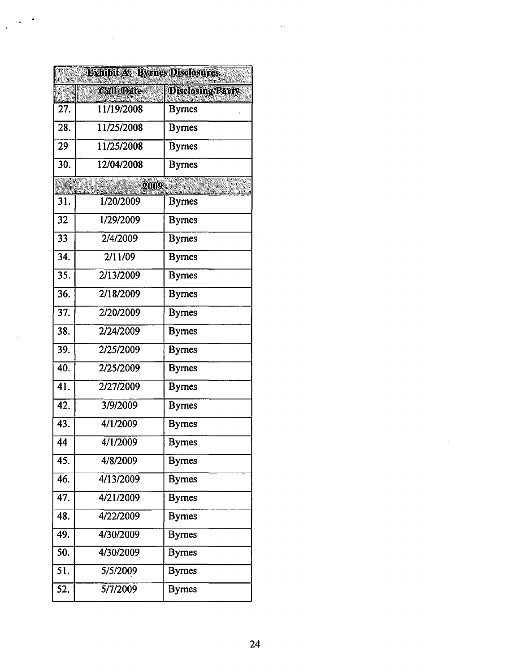|     | <b>DAhlbu As Byrnes Disclosures</b> |                         |
|-----|-------------------------------------|-------------------------|
|     | <b>Call Date</b>                    | <b>Disclosing Party</b> |
| 27. | 11/19/2008                          | <b>Byrnes</b>           |
| 28. | 11/25/2008                          | <b>Byrnes</b>           |
| 29  | 11/25/2008                          | <b>Byrnes</b>           |
| 30. | 12/04/2008                          | <b>Byrnes</b>           |
|     | 2009                                |                         |
| 31. | 1/20/2009                           | <b>Byrnes</b>           |
| 32  | 1/29/2009                           | <b>Byrnes</b>           |
| 33  | 2/4/2009                            | <b>Byrnes</b>           |
| 34. | 2/11/09                             | <b>Byrnes</b>           |
| 35. | 2/13/2009                           | <b>Byrnes</b>           |
| 36. | 2/18/2009                           | <b>Byrnes</b>           |
| 37. | 2/20/2009                           | <b>Bymes</b>            |
| 38. | 2/24/2009                           | <b>Byrnes</b>           |
| 39. | 2/25/2009                           | <b>Byrnes</b>           |
| 40. | 2/25/2009                           | <b>Byrnes</b>           |
| 41. | 2/27/2009                           | <b>Byrnes</b>           |
| 42. | 3/9/2009                            | <b>Byrnes</b>           |
| 43. | 4/1/2009                            | <b>Byrnes</b>           |
| 44  | 4/1/2009                            | <b>Byrnes</b>           |
| 45. | 4/8/2009                            | <b>Byrnes</b>           |
| 46. | 4/13/2009                           | <b>Byrnes</b>           |
| 47. | 4/21/2009                           | <b>Byrnes</b>           |
| 48. | 4/22/2009                           | <b>Bymes</b>            |
| 49. | 4/30/2009                           | <b>Byrnes</b>           |
| 50. | 4/30/2009                           | <b>Byrnes</b>           |
| 51. | 5/5/2009                            | <b>Byrnes</b>           |
| 52. | 5/7/2009                            | <b>Byrnes</b>           |

...

 $\ddot{\phantom{a}}$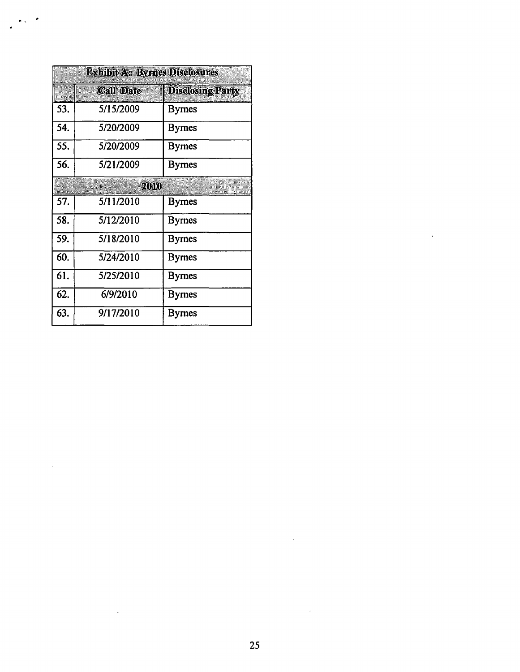| Exhibit As Byrnes Disclosures |                  |                         |
|-------------------------------|------------------|-------------------------|
|                               | <b>Call Date</b> | <b>Disclosing Party</b> |
| 53.                           | 5/15/2009        | <b>Byrnes</b>           |
| 54.                           | 5/20/2009        | <b>Byrnes</b>           |
| 55.                           | 5/20/2009        | Byrnes                  |
| 56.                           | 5/21/2009        | <b>Bymes</b>            |
|                               | 2010)            |                         |
| 57.                           | 5/11/2010        | Byrnes                  |
| 58.                           | 5/12/2010        | <b>Byrnes</b>           |
| 59.                           | 5/18/2010        | Byrnes                  |
| 60.                           | 5/24/2010        | <b>Bymes</b>            |
| 61.                           | 5/25/2010        | Byrnes                  |
| 62.                           | 6/9/2010         | <b>Byrnes</b>           |
| 63.                           | 9/17/2010        | <b>Bymes</b>            |

 $\mathbf{r}$  .